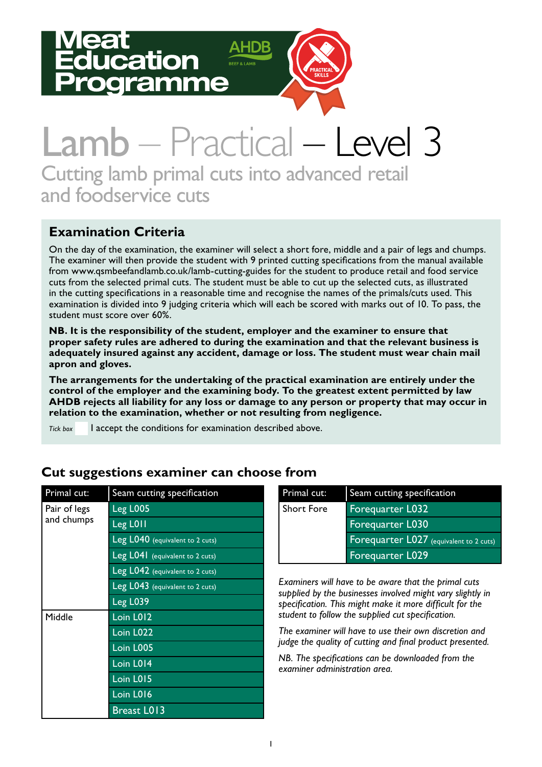# ation amme



## Lamb – Practical – Level 3 Cutting lamb primal cuts into advanced retail and foodservice cuts

### **Examination Criteria**

On the day of the examination, the examiner will select a short fore, middle and a pair of legs and chumps. The examiner will then provide the student with 9 printed cutting specifications from the manual available from www.qsmbeefandlamb.co.uk/lamb-cutting-guides for the student to produce retail and food service cuts from the selected primal cuts. The student must be able to cut up the selected cuts, as illustrated in the cutting specifications in a reasonable time and recognise the names of the primals/cuts used. This examination is divided into 9 judging criteria which will each be scored with marks out of 10. To pass, the student must score over 60%.

**NB. It is the responsibility of the student, employer and the examiner to ensure that proper safety rules are adhered to during the examination and that the relevant business is adequately insured against any accident, damage or loss. The student must wear chain mail apron and gloves.** 

**The arrangements for the undertaking of the practical examination are entirely under the control of the employer and the examining body. To the greatest extent permitted by law AHDB rejects all liability for any loss or damage to any person or property that may occur in relation to the examination, whether or not resulting from negligence.**

*Tick box* I accept the conditions for examination described above.

| Primal cut:  | Seam cutting specification      |  |  |  |  |  |
|--------------|---------------------------------|--|--|--|--|--|
| Pair of legs | <b>Leg L005</b>                 |  |  |  |  |  |
| and chumps   | Leg L011                        |  |  |  |  |  |
|              | Leg L040 (equivalent to 2 cuts) |  |  |  |  |  |
|              | Leg L041 (equivalent to 2 cuts) |  |  |  |  |  |
|              | Leg L042 (equivalent to 2 cuts) |  |  |  |  |  |
|              | Leg L043 (equivalent to 2 cuts) |  |  |  |  |  |
|              | Leg L039                        |  |  |  |  |  |
| Middle       | Loin L012                       |  |  |  |  |  |
|              | Loin L022                       |  |  |  |  |  |
|              | Loin L005                       |  |  |  |  |  |
|              | Loin L014                       |  |  |  |  |  |
|              | Loin L015                       |  |  |  |  |  |
|              | $Loin$ $L016$                   |  |  |  |  |  |
|              | <b>Breast LOI3</b>              |  |  |  |  |  |

#### **Cut suggestions examiner can choose from**

| Primal cut:       | Seam cutting specification              |
|-------------------|-----------------------------------------|
| <b>Short Fore</b> | <b>Forequarter L032</b>                 |
|                   | <b>Forequarter L030</b>                 |
|                   | Forequarter L027 (equivalent to 2 cuts) |
|                   | Forequarter L029                        |

*Examiners will have to be aware that the primal cuts supplied by the businesses involved might vary slightly in specification. This might make it more difficult for the student to follow the supplied cut specification.*

*The examiner will have to use their own discretion and judge the quality of cutting and final product presented.* 

*NB. The specifications can be downloaded from the examiner administration area.*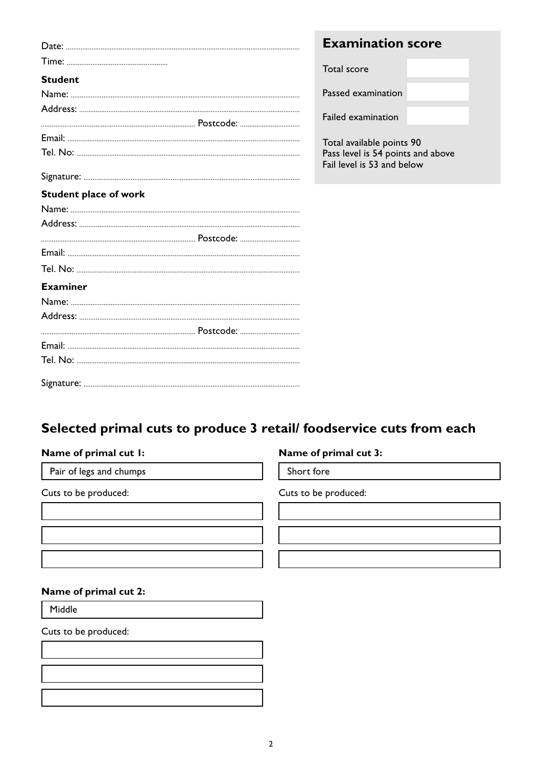|                              | <b>Examination score</b>                                        |  |
|------------------------------|-----------------------------------------------------------------|--|
|                              | Total score                                                     |  |
| <b>Student</b>               |                                                                 |  |
|                              | Passed examination                                              |  |
|                              | Failed examination                                              |  |
|                              |                                                                 |  |
|                              | Total available points 90                                       |  |
|                              | Pass level is 54 points and above<br>Fail level is 53 and below |  |
|                              |                                                                 |  |
| <b>Student place of work</b> |                                                                 |  |
|                              |                                                                 |  |
|                              |                                                                 |  |
|                              |                                                                 |  |
|                              |                                                                 |  |
|                              |                                                                 |  |
| <b>Examiner</b>              |                                                                 |  |
|                              |                                                                 |  |
|                              |                                                                 |  |
|                              |                                                                 |  |
|                              |                                                                 |  |
|                              |                                                                 |  |
|                              |                                                                 |  |

### **Selected primal cuts to produce 3 retail/ foodservice cuts from each**

| Name of primal cut I:   | Name of primal cut 3: |
|-------------------------|-----------------------|
| Pair of legs and chumps | Short fore            |
| Cuts to be produced:    | Cuts to be produced:  |
|                         |                       |
|                         |                       |
| Name of primal cut 2:   |                       |
| Middle                  |                       |
| Cuts to be produced:    |                       |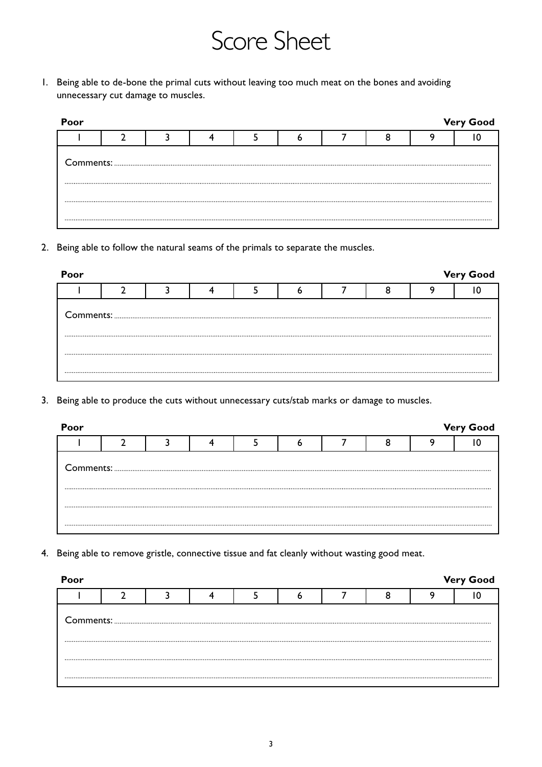## Score Sheet

1. Being able to de-bone the primal cuts without leaving too much meat on the bones and avoiding unnecessary cut damage to muscles.

| Poor<br><b>Very Good</b> |  |  |  |  |  |  |  |  |  |  |  |
|--------------------------|--|--|--|--|--|--|--|--|--|--|--|
|                          |  |  |  |  |  |  |  |  |  |  |  |
|                          |  |  |  |  |  |  |  |  |  |  |  |
|                          |  |  |  |  |  |  |  |  |  |  |  |
|                          |  |  |  |  |  |  |  |  |  |  |  |

2. Being able to follow the natural seams of the primals to separate the muscles.

| Poor |  |  |  |  | <b>Very Good</b> |
|------|--|--|--|--|------------------|
|      |  |  |  |  |                  |
|      |  |  |  |  |                  |
|      |  |  |  |  |                  |
|      |  |  |  |  |                  |

3. Being able to produce the cuts without unnecessary cuts/stab marks or damage to muscles.

| Poor |  |  |  |  | <b>Very Good</b> |
|------|--|--|--|--|------------------|
|      |  |  |  |  |                  |
|      |  |  |  |  |                  |
|      |  |  |  |  |                  |
|      |  |  |  |  |                  |
|      |  |  |  |  |                  |

4. Being able to remove gristle, connective tissue and fat cleanly without wasting good meat.

| Poor |  |  |  |  | <b>Very Good</b> |
|------|--|--|--|--|------------------|
|      |  |  |  |  |                  |
|      |  |  |  |  |                  |
|      |  |  |  |  |                  |
|      |  |  |  |  |                  |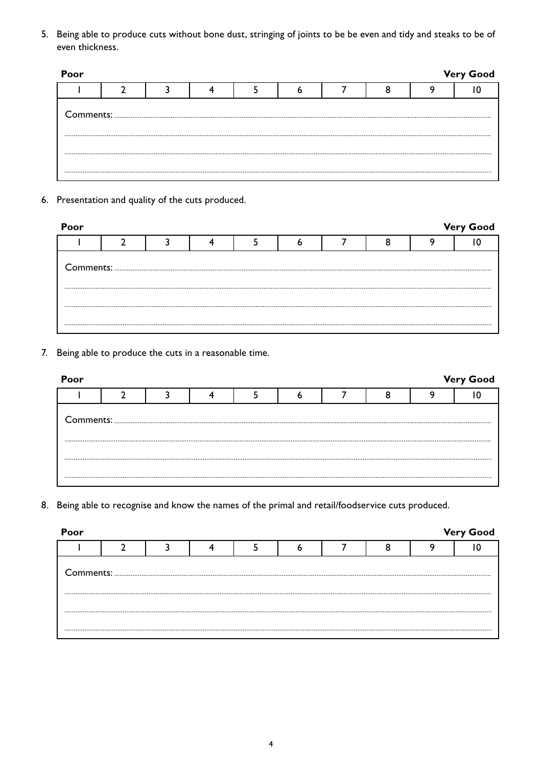5. Being able to produce cuts without bone dust, stringing of joints to be be even and tidy and steaks to be of even thickness.

| Poor |  |  |  |  | <b>Very Good</b> |
|------|--|--|--|--|------------------|
|      |  |  |  |  |                  |
|      |  |  |  |  |                  |
|      |  |  |  |  |                  |
|      |  |  |  |  |                  |

6. Presentation and quality of the cuts produced.

| Poor |  |  |  |  |  |  |  |  | <b>Very Good</b> |  |  |
|------|--|--|--|--|--|--|--|--|------------------|--|--|
|      |  |  |  |  |  |  |  |  |                  |  |  |
|      |  |  |  |  |  |  |  |  |                  |  |  |
|      |  |  |  |  |  |  |  |  |                  |  |  |
|      |  |  |  |  |  |  |  |  |                  |  |  |
|      |  |  |  |  |  |  |  |  |                  |  |  |

7. Being able to produce the cuts in a reasonable time.

| Poor |  |  |  |  | <b>Very Good</b> |
|------|--|--|--|--|------------------|
|      |  |  |  |  |                  |
|      |  |  |  |  |                  |
|      |  |  |  |  |                  |
|      |  |  |  |  |                  |

8. Being able to recognise and know the names of the primal and retail/foodservice cuts produced.

| Poor |  |  |  |  | <b>Very Good</b> |
|------|--|--|--|--|------------------|
|      |  |  |  |  |                  |
|      |  |  |  |  |                  |
|      |  |  |  |  |                  |
|      |  |  |  |  |                  |
|      |  |  |  |  |                  |